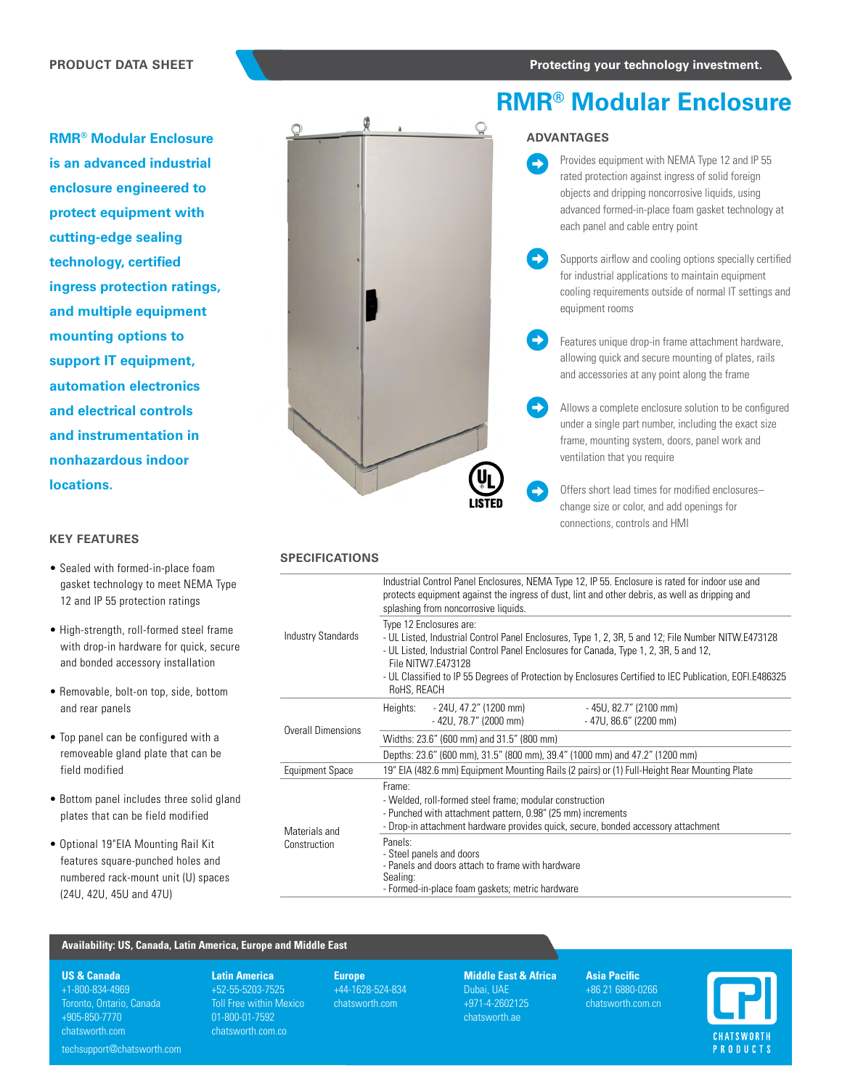**RMR® Modular Enclosure is an advanced industrial enclosure engineered to protect equipment with cutting-edge sealing technology, certified ingress protection ratings, and multiple equipment mounting options to support IT equipment, automation electronics and electrical controls and instrumentation in nonhazardous indoor locations.**

## **KEY FEATURES**

- Sealed with formed-in-place foam gasket technology to meet NEMA Type 12 and IP 55 protection ratings
- High-strength, roll-formed steel frame with drop-in hardware for quick, secure and bonded accessory installation
- Removable, bolt-on top, side, bottom and rear panels
- Top panel can be configured with a removeable gland plate that can be field modified
- Bottom panel includes three solid gland plates that can be field modified
- Optional 19"EIA Mounting Rail Kit features square-punched holes and numbered rack-mount unit (U) spaces (24U, 42U, 45U and 47U)

# **RMR® Modular Enclosure**

## **ADVANTAGES**

 $\rightarrow$ 

- Provides equipment with NEMA Type 12 and IP 55 rated protection against ingress of solid foreign objects and dripping noncorrosive liquids, using advanced formed-in-place foam gasket technology at each panel and cable entry point
- Supports airflow and cooling options specially certified for industrial applications to maintain equipment cooling requirements outside of normal IT settings and equipment rooms
- $\rightarrow$ Features unique drop-in frame attachment hardware, allowing quick and secure mounting of plates, rails and accessories at any point along the frame
	- Allows a complete enclosure solution to be configured under a single part number, including the exact size frame, mounting system, doors, panel work and ventilation that you require
	- Offers short lead times for modified enclosures– change size or color, and add openings for connections, controls and HMI

## **SPECIFICATIONS**

|                           | Industrial Control Panel Enclosures, NEMA Type 12, IP 55. Enclosure is rated for indoor use and<br>protects equipment against the ingress of dust, lint and other debris, as well as dripping and<br>splashing from noncorrosive liquids.                                                                                                                               |
|---------------------------|-------------------------------------------------------------------------------------------------------------------------------------------------------------------------------------------------------------------------------------------------------------------------------------------------------------------------------------------------------------------------|
| <b>Industry Standards</b> | Type 12 Enclosures are:<br>- UL Listed, Industrial Control Panel Enclosures, Type 1, 2, 3R, 5 and 12; File Number NITW.E473128<br>- UL Listed, Industrial Control Panel Enclosures for Canada, Type 1, 2, 3R, 5 and 12,<br>File NITW7 F473128<br>- UL Classified to IP 55 Degrees of Protection by Enclosures Certified to IEC Publication, EOFI.E486325<br>RoHS, REACH |
|                           | Heights:<br>- 24U, 47.2" (1200 mm)<br>- 45U, 82.7" (2100 mm)<br>$-42U, 78.7"$ (2000 mm)<br>$-47U, 86.6" (2200 mm)$                                                                                                                                                                                                                                                      |
| Overall Dimensions        | Widths: 23.6" (600 mm) and 31.5" (800 mm)                                                                                                                                                                                                                                                                                                                               |
|                           | Depths: 23.6" (600 mm), 31.5" (800 mm), 39.4" (1000 mm) and 47.2" (1200 mm)                                                                                                                                                                                                                                                                                             |
| <b>Equipment Space</b>    | 19" EIA (482.6 mm) Equipment Mounting Rails (2 pairs) or (1) Full-Height Rear Mounting Plate                                                                                                                                                                                                                                                                            |
| Materials and             | Frame:<br>- Welded, roll-formed steel frame; modular construction<br>- Punched with attachment pattern, 0.98" (25 mm) increments<br>- Drop-in attachment hardware provides quick, secure, bonded accessory attachment                                                                                                                                                   |
| Construction              | Panels:<br>- Steel panels and doors<br>- Panels and doors attach to frame with hardware<br>Sealing:<br>- Formed-in-place foam gaskets; metric hardware                                                                                                                                                                                                                  |

## **Availability: US, Canada, Latin America, Europe and Middle East**

**US & Canada**

+1-800-834-4969 Toronto, Ontario, Canada +905-850-7770 chatsworth.com

techsupport@chatsworth.com

**Latin America**  +52-55-5203-7525 Toll Free within Mexico 01-800-01-7592 chatsworth.com.co

**Europe** +44-1628-524-834 chatsworth.com

**Middle East & Africa** Dubai, UAE +971-4-2602125 chatsworth.ae

**Asia Pacific** +86 21 6880-0266 chatsworth.com.cn

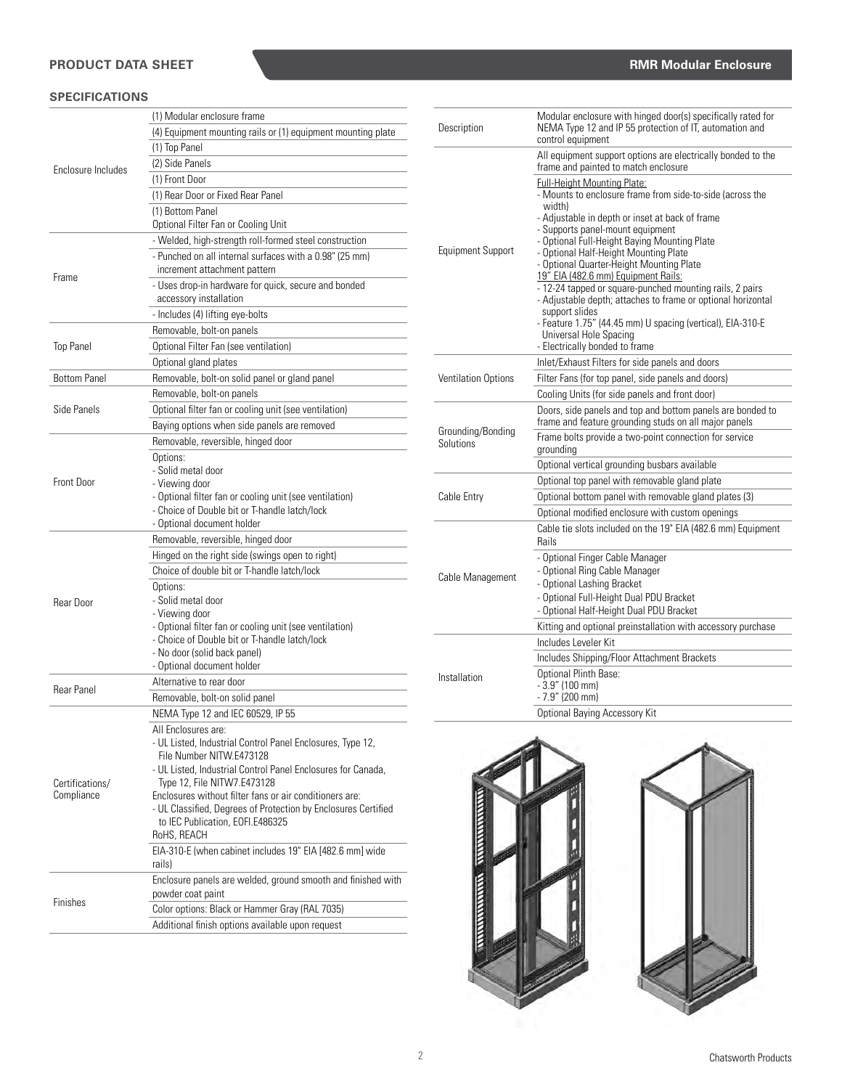# **PRODUCT DATA SHEET**

## **SPECIFICATIONS**

|                     | (1) Modular enclosure frame                                                                              |
|---------------------|----------------------------------------------------------------------------------------------------------|
|                     | (4) Equipment mounting rails or (1) equipment mounting plate                                             |
|                     | (1) Top Panel                                                                                            |
|                     | (2) Side Panels                                                                                          |
| Enclosure Includes  | (1) Front Door                                                                                           |
|                     | (1) Rear Door or Fixed Rear Panel                                                                        |
|                     |                                                                                                          |
|                     | (1) Bottom Panel                                                                                         |
|                     | Optional Filter Fan or Cooling Unit                                                                      |
|                     | - Welded, high-strength roll-formed steel construction                                                   |
|                     | - Punched on all internal surfaces with a 0.98" (25 mm)<br>increment attachment pattern                  |
| Frame               | - Uses drop-in hardware for quick, secure and bonded                                                     |
|                     | accessory installation                                                                                   |
|                     | - Includes (4) lifting eye-bolts                                                                         |
|                     |                                                                                                          |
|                     | Removable, bolt-on panels                                                                                |
| <b>Top Panel</b>    | Optional Filter Fan (see ventilation)                                                                    |
|                     | Optional gland plates                                                                                    |
| <b>Bottom Panel</b> | Removable, bolt-on solid panel or gland panel                                                            |
|                     | Removable, bolt-on panels                                                                                |
| Side Panels         | Optional filter fan or cooling unit (see ventilation)                                                    |
|                     | Baying options when side panels are removed                                                              |
|                     | Removable, reversible, hinged door                                                                       |
|                     | Options:                                                                                                 |
|                     | - Solid metal door                                                                                       |
| Front Door          | - Viewing door                                                                                           |
|                     | - Optional filter fan or cooling unit (see ventilation)                                                  |
|                     | - Choice of Double bit or T-handle latch/lock                                                            |
|                     | - Optional document holder                                                                               |
|                     | Removable, reversible, hinged door                                                                       |
|                     | Hinged on the right side (swings open to right)                                                          |
|                     | Choice of double bit or T-handle latch/lock                                                              |
|                     | Options:                                                                                                 |
| Rear Door           | - Solid metal door                                                                                       |
|                     | - Viewing door                                                                                           |
|                     | - Optional filter fan or cooling unit (see ventilation)<br>- Choice of Double bit or T-handle latch/lock |
|                     | - No door (solid back panel)                                                                             |
|                     | - Optional document holder                                                                               |
|                     | Alternative to rear door                                                                                 |
| Rear Panel          | Removable, bolt-on solid panel                                                                           |
|                     | NEMA Type 12 and IEC 60529, IP 55                                                                        |
|                     |                                                                                                          |
|                     | All Enclosures are:<br>- UL Listed, Industrial Control Panel Enclosures, Type 12,                        |
|                     | File Number NITW E473128                                                                                 |
|                     | - UL Listed, Industrial Control Panel Enclosures for Canada,                                             |
| Certifications/     | Type 12, File NITW7.E473128                                                                              |
| Compliance          | Enclosures without filter fans or air conditioners are:                                                  |
|                     | - UL Classified, Degrees of Protection by Enclosures Certified                                           |
|                     | to IEC Publication, EOFI.E486325                                                                         |
|                     | RoHS, REACH                                                                                              |
|                     | EIA-310-E (when cabinet includes 19" EIA [482.6 mm] wide                                                 |
|                     | rails)                                                                                                   |
|                     | Enclosure panels are welded, ground smooth and finished with                                             |
| Finishes            | powder coat paint                                                                                        |
|                     | Color options: Black or Hammer Gray (RAL 7035)                                                           |
|                     | Additional finish options available upon request                                                         |

| Description                    | Modular enclosure with hinged door(s) specifically rated for<br>NEMA Type 12 and IP 55 protection of IT, automation and<br>control equipment                                                                                                                                                                                                                                                                                                                                                                                                                                                                                                         |
|--------------------------------|------------------------------------------------------------------------------------------------------------------------------------------------------------------------------------------------------------------------------------------------------------------------------------------------------------------------------------------------------------------------------------------------------------------------------------------------------------------------------------------------------------------------------------------------------------------------------------------------------------------------------------------------------|
|                                | All equipment support options are electrically bonded to the<br>frame and painted to match enclosure                                                                                                                                                                                                                                                                                                                                                                                                                                                                                                                                                 |
| <b>Equipment Support</b>       | <b>Full-Height Mounting Plate:</b><br>- Mounts to enclosure frame from side-to-side (across the<br>width)<br>- Adjustable in depth or inset at back of frame<br>- Supports panel-mount equipment<br>- Optional Full-Height Baying Mounting Plate<br>- Optional Half-Height Mounting Plate<br>- Optional Quarter-Height Mounting Plate<br>19" EIA (482.6 mm) Equipment Rails:<br>- 12-24 tapped or square-punched mounting rails, 2 pairs<br>- Adjustable depth; attaches to frame or optional horizontal<br>support slides<br>- Feature 1.75" (44.45 mm) U spacing (vertical), EIA-310-E<br>Universal Hole Spacing<br>- Electrically bonded to frame |
|                                | Inlet/Exhaust Filters for side panels and doors                                                                                                                                                                                                                                                                                                                                                                                                                                                                                                                                                                                                      |
| Ventilation Options            | Filter Fans (for top panel, side panels and doors)                                                                                                                                                                                                                                                                                                                                                                                                                                                                                                                                                                                                   |
|                                | Cooling Units (for side panels and front door)                                                                                                                                                                                                                                                                                                                                                                                                                                                                                                                                                                                                       |
|                                | Doors, side panels and top and bottom panels are bonded to<br>frame and feature grounding studs on all major panels                                                                                                                                                                                                                                                                                                                                                                                                                                                                                                                                  |
| Grounding/Bonding<br>Solutions | Frame bolts provide a two-point connection for service<br>grounding                                                                                                                                                                                                                                                                                                                                                                                                                                                                                                                                                                                  |
|                                | Optional vertical grounding busbars available                                                                                                                                                                                                                                                                                                                                                                                                                                                                                                                                                                                                        |
|                                | Optional top panel with removable gland plate                                                                                                                                                                                                                                                                                                                                                                                                                                                                                                                                                                                                        |
| Cable Entry                    | Optional bottom panel with removable gland plates (3)                                                                                                                                                                                                                                                                                                                                                                                                                                                                                                                                                                                                |
|                                | Optional modified enclosure with custom openings                                                                                                                                                                                                                                                                                                                                                                                                                                                                                                                                                                                                     |
|                                | Cable tie slots included on the 19" EIA (482.6 mm) Equipment<br>Rails                                                                                                                                                                                                                                                                                                                                                                                                                                                                                                                                                                                |
| Cable Management               | - Optional Finger Cable Manager<br>- Optional Ring Cable Manager<br>- Optional Lashing Bracket<br>- Optional Full-Height Dual PDU Bracket<br>- Optional Half-Height Dual PDU Bracket                                                                                                                                                                                                                                                                                                                                                                                                                                                                 |
|                                | Kitting and optional preinstallation with accessory purchase                                                                                                                                                                                                                                                                                                                                                                                                                                                                                                                                                                                         |
|                                | Includes Leveler Kit                                                                                                                                                                                                                                                                                                                                                                                                                                                                                                                                                                                                                                 |
|                                | Includes Shipping/Floor Attachment Brackets                                                                                                                                                                                                                                                                                                                                                                                                                                                                                                                                                                                                          |
| Installation                   | Optional Plinth Base:<br>$-3.9"$ (100 mm)<br>$-7.9''$ (200 mm)                                                                                                                                                                                                                                                                                                                                                                                                                                                                                                                                                                                       |
|                                | <b>Optional Baying Accessory Kit</b>                                                                                                                                                                                                                                                                                                                                                                                                                                                                                                                                                                                                                 |



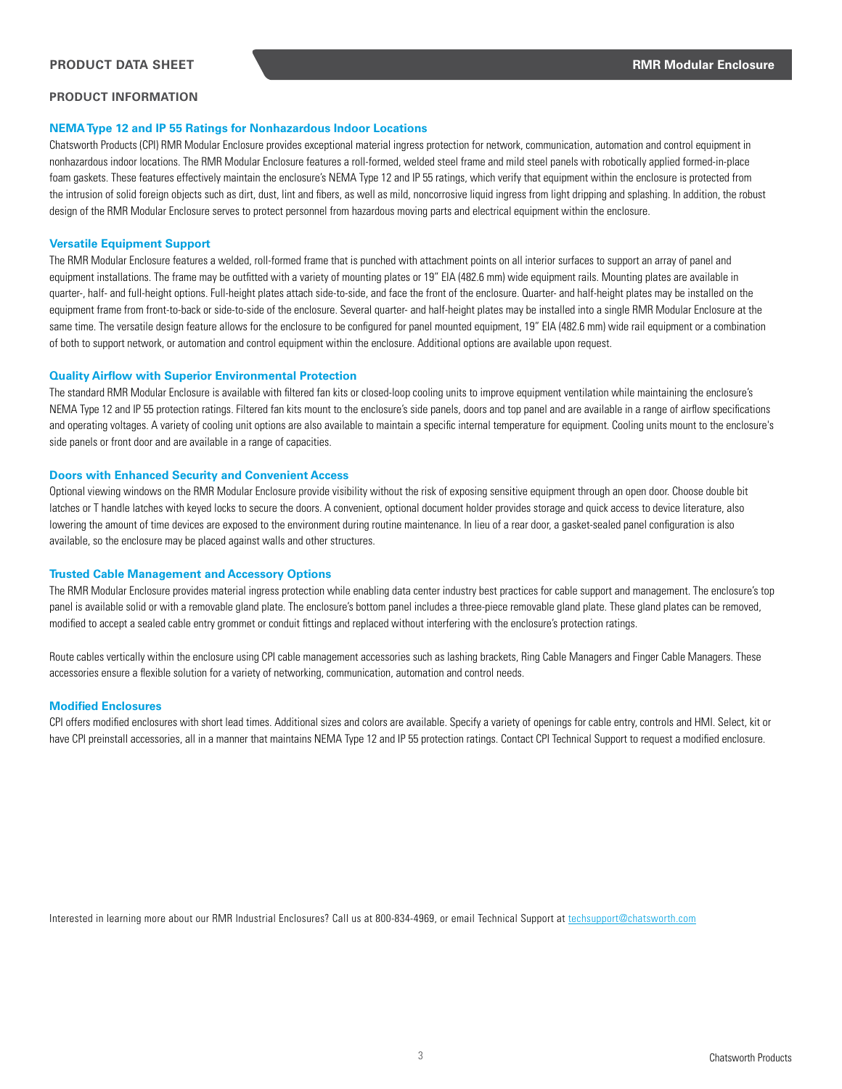## **PRODUCT INFORMATION**

## **NEMA Type 12 and IP 55 Ratings for Nonhazardous Indoor Locations**

Chatsworth Products (CPI) RMR Modular Enclosure provides exceptional material ingress protection for network, communication, automation and control equipment in nonhazardous indoor locations. The RMR Modular Enclosure features a roll-formed, welded steel frame and mild steel panels with robotically applied formed-in-place foam gaskets. These features effectively maintain the enclosure's NEMA Type 12 and IP 55 ratings, which verify that equipment within the enclosure is protected from the intrusion of solid foreign objects such as dirt, dust, lint and fibers, as well as mild, noncorrosive liquid ingress from light dripping and splashing. In addition, the robust design of the RMR Modular Enclosure serves to protect personnel from hazardous moving parts and electrical equipment within the enclosure.

#### **Versatile Equipment Support**

The RMR Modular Enclosure features a welded, roll-formed frame that is punched with attachment points on all interior surfaces to support an array of panel and equipment installations. The frame may be outfitted with a variety of mounting plates or 19" EIA (482.6 mm) wide equipment rails. Mounting plates are available in quarter-, half- and full-height options. Full-height plates attach side-to-side, and face the front of the enclosure. Quarter- and half-height plates may be installed on the equipment frame from front-to-back or side-to-side of the enclosure. Several quarter- and half-height plates may be installed into a single RMR Modular Enclosure at the same time. The versatile design feature allows for the enclosure to be configured for panel mounted equipment, 19" EIA (482.6 mm) wide rail equipment or a combination of both to support network, or automation and control equipment within the enclosure. Additional options are available upon request.

#### **Quality Airflow with Superior Environmental Protection**

The standard RMR Modular Enclosure is available with filtered fan kits or closed-loop cooling units to improve equipment ventilation while maintaining the enclosure's NEMA Type 12 and IP 55 protection ratings. Filtered fan kits mount to the enclosure's side panels, doors and top panel and are available in a range of airflow specifications and operating voltages. A variety of cooling unit options are also available to maintain a specific internal temperature for equipment. Cooling units mount to the enclosure's side panels or front door and are available in a range of capacities.

#### **Doors with Enhanced Security and Convenient Access**

Optional viewing windows on the RMR Modular Enclosure provide visibility without the risk of exposing sensitive equipment through an open door. Choose double bit latches or T handle latches with keyed locks to secure the doors. A convenient, optional document holder provides storage and quick access to device literature, also lowering the amount of time devices are exposed to the environment during routine maintenance. In lieu of a rear door, a gasket-sealed panel configuration is also available, so the enclosure may be placed against walls and other structures.

#### **Trusted Cable Management and Accessory Options**

The RMR Modular Enclosure provides material ingress protection while enabling data center industry best practices for cable support and management. The enclosure's top panel is available solid or with a removable gland plate. The enclosure's bottom panel includes a three-piece removable gland plate. These gland plates can be removed, modified to accept a sealed cable entry grommet or conduit fittings and replaced without interfering with the enclosure's protection ratings.

Route cables vertically within the enclosure using CPI cable management accessories such as lashing brackets, Ring Cable Managers and Finger Cable Managers. These accessories ensure a flexible solution for a variety of networking, communication, automation and control needs.

#### **Modified Enclosures**

CPI offers modified enclosures with short lead times. Additional sizes and colors are available. Specify a variety of openings for cable entry, controls and HMI. Select, kit or have CPI preinstall accessories, all in a manner that maintains NEMA Type 12 and IP 55 protection ratings. Contact CPI Technical Support to request a modified enclosure.

Interested in learning more about our RMR Industrial Enclosures? Call us at 800-834-4969, or email Technical Support at techsupport@[chatsworth.com](http://www.chatsworth.com/products/cabinet-and-enclosure-systems/environmental-enclosures/)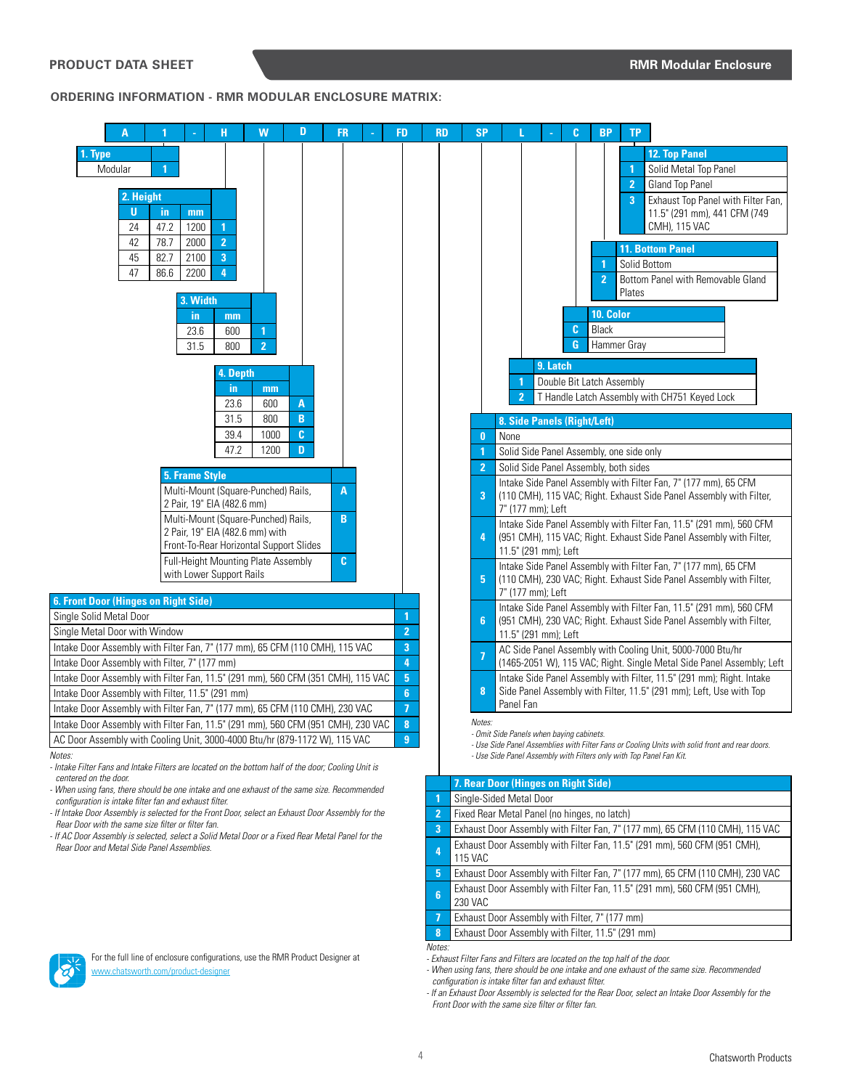**ORDERING INFORMATION - RMR MODULAR ENCLOSURE MATRIX:**





**7** Exhaust Door Assembly with Filter, 7" (177 mm) **8** Exhaust Door Assembly with Filter, 11.5" (291 mm)

*Notes:* 

*- Exhaust Filter Fans and Filters are located on the top half of the door. - When using fans, there should be one intake and one exhaust of the same size. Recommended* 

*configuration is intake filter fan and exhaust filter.*

*- If an Exhaust Door Assembly is selected for the Rear Door, select an Intake Door Assembly for the Front Door with the same size filter or filter fan.*



For the full line of enclosure configurations, use the RMR Product Designer at [www.c](http://chatsworth.com/industrial-enclosures)hatsworth.com/product-designer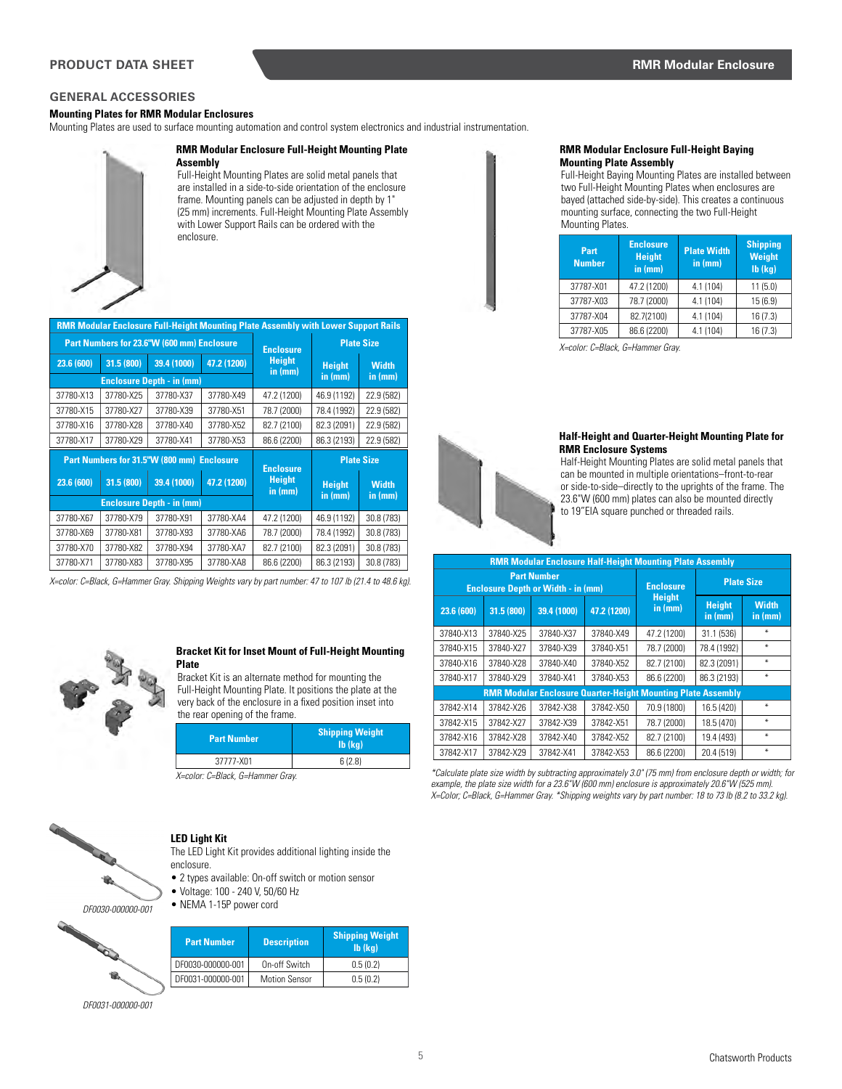## **GENERAL ACCESSORIES**

## **Mounting Plates for RMR Modular Enclosures**

Mounting Plates are used to surface mounting automation and control system electronics and industrial instrumentation.



#### **RMR Modular Enclosure Full-Height Mounting Plate Assembly**

Full-Height Mounting Plates are solid metal panels that are installed in a side-to-side orientation of the enclosure frame. Mounting panels can be adjusted in depth by 1" (25 mm) increments. Full-Height Mounting Plate Assembly with Lower Support Rails can be ordered with the enclosure.

| <b>RMR Modular Enclosure Full-Height Mounting Plate Assembly with Lower Support Rails</b> |            |                                            |                  |                                              |               |                   |
|-------------------------------------------------------------------------------------------|------------|--------------------------------------------|------------------|----------------------------------------------|---------------|-------------------|
| Part Numbers for 23.6"W (600 mm) Enclosure                                                |            |                                            | <b>Enclosure</b> | <b>Plate Size</b>                            |               |                   |
| 23.6(600)                                                                                 | 31.5 (800) | 39.4 (1000)                                | 47.2 (1200)      | <b>Height</b><br>in (mm)                     | <b>Height</b> | <b>Width</b>      |
|                                                                                           |            | <b>Enclosure Depth - in (mm)</b>           |                  |                                              | in (mm)       | in (mm)           |
| 37780-X13                                                                                 | 37780-X25  | 37780-X37                                  | 37780-X49        | 47.2 (1200)                                  | 46.9 (1192)   | 22.9 (582)        |
| 37780-X15                                                                                 | 37780-X27  | 37780-X39                                  | 37780-X51        | 78.7 (2000)                                  | 78.4 (1992)   | 22.9 (582)        |
| 37780-X16                                                                                 | 37780-X28  | 37780-X40                                  | 37780-X52        | 82.7 (2100)                                  | 82.3 (2091)   | 22.9 (582)        |
| 37780-X17                                                                                 | 37780-X29  | 37780-X41                                  | 37780-X53        | 86.6 (2200)                                  | 86.3 (2193)   | 22.9 (582)        |
|                                                                                           |            |                                            |                  |                                              |               |                   |
|                                                                                           |            | Part Numbers for 31.5"W (800 mm) Enclosure |                  |                                              |               | <b>Plate Size</b> |
| 23.6 (600)                                                                                | 31.5 (800) | 39.4 (1000)                                | 47.2 (1200)      | <b>Enclosure</b><br><b>Height</b><br>in (mm) | <b>Height</b> | <b>Width</b>      |
|                                                                                           |            | <b>Enclosure Depth - in (mm)</b>           |                  |                                              | in (mm)       | in (mm)           |
| 37780-X67                                                                                 | 37780-X79  | 37780-X91                                  | 37780-XA4        | 47.2 (1200)                                  | 46.9 (1192)   | 30.8 (783)        |
| 37780-X69                                                                                 | 37780-X81  | 37780-X93                                  | 37780-XA6        | 78.7 (2000)                                  | 78.4 (1992)   | 30.8 (783)        |
| 37780-X70                                                                                 | 37780-X82  | 37780-X94                                  | 37780-XA7        | 82.7 (2100)                                  | 82.3 (2091)   | 30.8 (783)        |

*X=color: C=Black, G=Hammer Gray. Shipping Weights vary by part number: 47 to 107 lb (21.4 to 48.6 kg).*



#### **Bracket Kit for Inset Mount of Full-Height Mounting Plate**

Bracket Kit is an alternate method for mounting the Full-Height Mounting Plate. It positions the plate at the very back of the enclosure in a fixed position inset into the rear opening of the frame.

| <b>Part Number</b> | <b>Shipping Weight</b><br>$Ib$ ( $kq$ ) |
|--------------------|-----------------------------------------|
| 37777-X01          | 6(2.8)                                  |

*X=color: C=Black, G=Hammer Gray.* 



# **LED Light Kit**

The LED Light Kit provides additional lighting inside the enclosure.

- 2 types available: On-off switch or motion sensor
- Voltage: 100 240 V, 50/60 Hz

• NEMA 1-15P power cord *DF0030-000000-001*

| <b>Part Number</b> | <b>Description</b>   | <b>Shipping Weight</b><br>$Ib$ ( $kq$ ) |
|--------------------|----------------------|-----------------------------------------|
| DF0030-000000-001  | On-off Switch        | 0.5(0.2)                                |
| DF0031-000000-001  | <b>Motion Sensor</b> | 0.5(0.2)                                |

*DF0031-000000-001*

毺

#### **RMR Modular Enclosure Full-Height Baying Mounting Plate Assembly**

Full-Height Baying Mounting Plates are installed between two Full-Height Mounting Plates when enclosures are bayed (attached side-by-side). This creates a continuous mounting surface, connecting the two Full-Height Mounting Plates.

| Part<br><b>Number</b> | <b>Enclosure</b><br><b>Height</b><br>in (mm) | <b>Plate Width</b><br>in (mm) | <b>Shipping</b><br><b>Weight</b><br>$Ib$ ( $kg$ ) |
|-----------------------|----------------------------------------------|-------------------------------|---------------------------------------------------|
| 37787-X01             | 47.2 (1200)                                  | 4.1 (104)                     | 11(5.0)                                           |
| 37787-X03             | 78.7 (2000)                                  | 4.1 (104)                     | 15(6.9)                                           |
| 37787-X04             | 82.7(2100)                                   | 4.1 (104)                     | 16(7.3)                                           |
| 37787-X05             | 86.6 (2200)                                  | 4.1 (104)                     | 16(7.3)                                           |

*X=color: C=Black, G=Hammer Gray.* 



#### **Half-Height and Quarter-Height Mounting Plate for RMR Enclosure Systems**

Half-Height Mounting Plates are solid metal panels that can be mounted in multiple orientations–front-to-rear or side-to-side–directly to the uprights of the frame. The 23.6"W (600 mm) plates can also be mounted directly to 19"EIA square punched or threaded rails.

| <b>RMR Modular Enclosure Half-Height Mounting Plate Assembly</b> |                                                                     |             |                  |                          |                          |                         |
|------------------------------------------------------------------|---------------------------------------------------------------------|-------------|------------------|--------------------------|--------------------------|-------------------------|
| <b>Part Number</b><br><b>Enclosure Depth or Width - in (mm)</b>  |                                                                     |             | <b>Enclosure</b> | <b>Plate Size</b>        |                          |                         |
| 23.6 (600)                                                       | 31.5 (800)                                                          | 39.4 (1000) | 47.2 (1200)      | <b>Height</b><br>in (mm) | <b>Height</b><br>in (mm) | <b>Width</b><br>in (mm) |
| 37840-X13                                                        | 37840-X25                                                           | 37840-X37   | 37840-X49        | 47.2 (1200)              | 31.1 (536)               | ¥                       |
| 37840-X15                                                        | 37840-X27                                                           | 37840-X39   | 37840-X51        | 78.7 (2000)              | 78.4 (1992)              | ¥                       |
| 37840-X16                                                        | 37840-X28                                                           | 37840-X40   | 37840-X52        | 82.7 (2100)              | 82.3 (2091)              | $\ast$                  |
| 37840-X17                                                        | 37840-X29                                                           | 37840-X41   | 37840-X53        | 86.6 (2200)              | 86.3 (2193)              | ¥                       |
|                                                                  | <b>RMR Modular Enclosure Quarter-Height Mounting Plate Assembly</b> |             |                  |                          |                          |                         |
| 37842-X14                                                        | 37842-X26                                                           | 37842-X38   | 37842-X50        | 70.9 (1800)              | 16.5 (420)               | ₩                       |
| 37842-X15                                                        | 37842-X27                                                           | 37842-X39   | 37842-X51        | 78.7 (2000)              | 18.5 (470)               | ₩                       |
| 37842-X16                                                        | 37842-X28                                                           | 37842-X40   | 37842-X52        | 82.7 (2100)              | 19.4 (493)               | $\ast$                  |
| 37842-X17                                                        | 37842-X29                                                           | 37842-X41   | 37842-X53        | 86.6 (2200)              | 20.4 (519)               | ¥                       |

*\*Calculate plate size width by subtracting approximately 3.0" (75 mm) from enclosure depth or width; for*  example, the plate size width for a 23.6"W (600 mm) enclosure is approximately 20.6"W (525 mm). *X=Color; C=Black, G=Hammer Gray. \*Shipping weights vary by part number: 18 to 73 lb (8.2 to 33.2 kg).*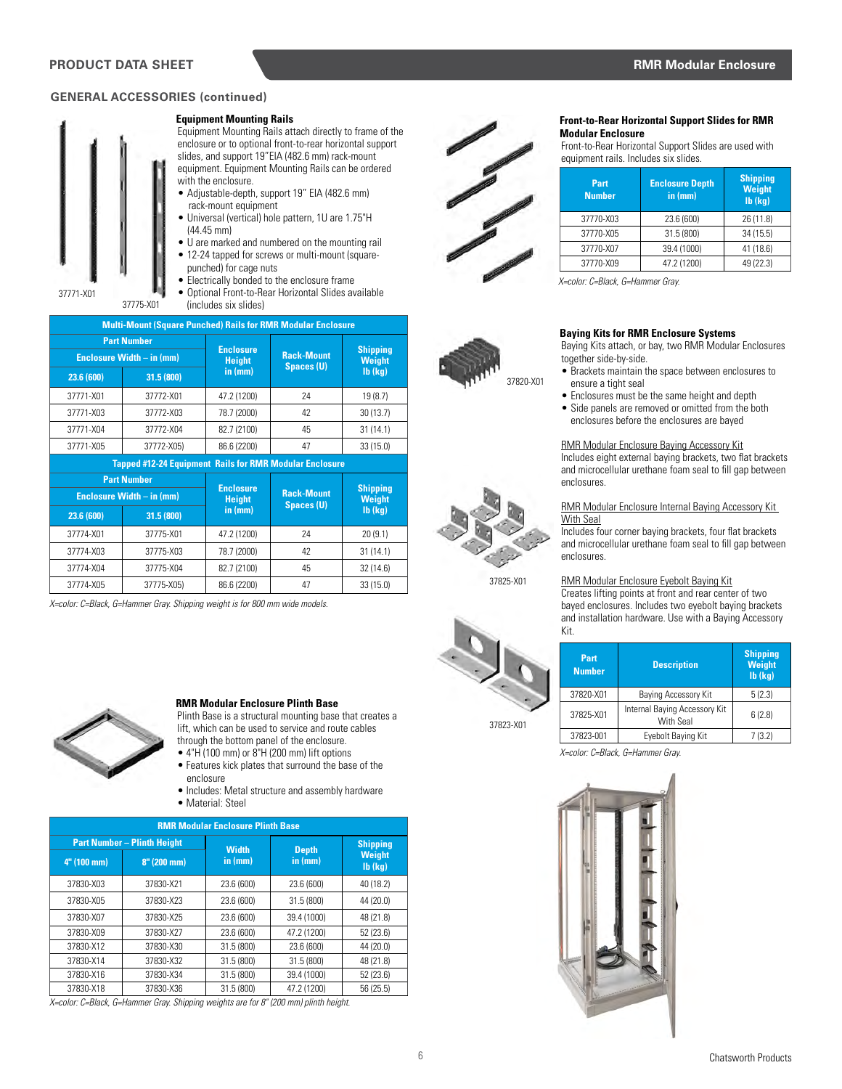## **GENERAL ACCESSORIES (continued)**



#### **Equipment Mounting Rails**

Equipment Mounting Rails attach directly to frame of the enclosure or to optional front-to-rear horizontal support slides, and support 19"EIA (482.6 mm) rack-mount equipment. Equipment Mounting Rails can be ordered with the enclosure.

• Adjustable-depth, support 19" EIA (482.6 mm) rack-mount equipment

• Universal (vertical) hole pattern, 1U are 1.75"H (44.45 mm)

- U are marked and numbered on the mounting rail • 12-24 tapped for screws or multi-mount (square-
- punched) for cage nuts • Electrically bonded to the enclosure frame

• Optional Front-to-Rear Horizontal Slides available (includes six slides)

|            | <b>Multi-Mount (Square Punched) Rails for RMR Modular Enclosure</b> |                          |                                        |                                  |  |
|------------|---------------------------------------------------------------------|--------------------------|----------------------------------------|----------------------------------|--|
|            | <b>Part Number</b><br><b>Enclosure Width - in (mm)</b>              |                          | <b>Rack-Mount</b>                      | <b>Shipping</b><br><b>Weight</b> |  |
| 23.6 (600) | 31.5 (800)                                                          | <b>Height</b><br>in (mm) | Spaces (U)                             | $Ib$ ( $kg$ )                    |  |
| 37771-X01  | 37772-X01                                                           | 47.2 (1200)              | 24                                     | 19(8.7)                          |  |
| 37771-X03  | 37772-X03                                                           | 78.7 (2000)              | 42                                     | 30(13.7)                         |  |
| 37771-X04  | 37772-X04                                                           | 82.7 (2100)              | 45                                     | 31(14.1)                         |  |
| 37771-X05  | 37772-X05)                                                          | 86.6 (2200)              | 47                                     | 33(15.0)                         |  |
|            | <b>Tapped #12-24 Equipment Rails for RMR Modular Enclosure</b>      |                          |                                        |                                  |  |
|            | <b>Part Number</b>                                                  | <b>Enclosure</b>         |                                        | <b>Shipping</b><br><b>Weight</b> |  |
|            | <b>Enclosure Width - in (mm)</b>                                    | <b>Height</b>            | <b>Rack-Mount</b><br><b>Spaces (U)</b> |                                  |  |
| 23.6 (600) | 31.5 (800)                                                          | in (mm)                  |                                        | $Ib$ ( $kq$ )                    |  |
| 37774-X01  | 37775-X01                                                           | 47.2 (1200)              | 24                                     | 20(9.1)                          |  |
| 37774-X03  | 37775-X03                                                           | 78.7 (2000)              | 42                                     | 31(14.1)                         |  |
| 37774-X04  | 37775-X04                                                           | 82.7 (2100)              | 45                                     | 32(14.6)                         |  |
|            |                                                                     |                          |                                        |                                  |  |

*X=color: C=Black, G=Hammer Gray. Shipping weight is for 800 mm wide models.*



#### **RMR Modular Enclosure Plinth Base**

Plinth Base is a structural mounting base that creates a lift, which can be used to service and route cables through the bottom panel of the enclosure.

- 4"H (100 mm) or 8"H (200 mm) lift options
- Features kick plates that surround the base of the enclosure
- Includes: Metal structure and assembly hardware • Material: Steel

| <b>RMR Modular Enclosure Plinth Base</b> |                                    |              |              |                                |  |
|------------------------------------------|------------------------------------|--------------|--------------|--------------------------------|--|
|                                          | <b>Part Number - Plinth Height</b> | <b>Width</b> | <b>Depth</b> | <b>Shipping</b>                |  |
| 4" (100 mm)                              | $8''$ (200 mm)                     | in (mm)      | in (mm)      | <b>Weight</b><br>$Ib$ ( $kg$ ) |  |
| 37830-X03                                | 37830-X21                          | 23.6 (600)   | 23.6 (600)   | 40 (18.2)                      |  |
| 37830-X05                                | 37830-X23                          | 23.6 (600)   | 31.5 (800)   | 44 (20.0)                      |  |
| 37830-X07                                | 37830-X25                          | 23.6 (600)   | 39.4 (1000)  | 48 (21.8)                      |  |
| 37830-X09                                | 37830-X27                          | 23.6 (600)   | 47.2 (1200)  | 52(23.6)                       |  |
| 37830-X12                                | 37830-X30                          | 31.5 (800)   | 23.6 (600)   | 44 (20.0)                      |  |
| 37830-X14                                | 37830-X32                          | 31.5 (800)   | 31.5 (800)   | 48 (21.8)                      |  |
| 37830-X16                                | 37830-X34                          | 31.5 (800)   | 39.4 (1000)  | 52 (23.6)                      |  |
| 37830-X18                                | 37830-X36                          | 31.5 (800)   | 47.2 (1200)  | 56 (25.5)                      |  |

*X=color: C=Black, G=Hammer Gray. Shipping weights are for 8" (200 mm) plinth height.*















37820-X01

## RMR Modular Enclosure Internal Baying Accessory Kit With Seal Includes four corner baying brackets, four flat brackets

and microcellular urethane foam seal to fill gap between enclosures.

## RMR Modular Enclosure Eyebolt Baying Kit

Creates lifting points at front and rear center of two bayed enclosures. Includes two eyebolt baying brackets and installation hardware. Use with a Baying Accessory Kit.

| Part<br><b>Number</b> | <b>Description</b>                                | <b>Shipping</b><br><b>Weight</b><br>$Ib$ ( $kq$ ) |
|-----------------------|---------------------------------------------------|---------------------------------------------------|
| 37820-X01             | Baying Accessory Kit                              | 5(2.3)                                            |
| 37825-X01             | Internal Baying Accessory Kit<br><b>With Seal</b> | 6(2.8)                                            |
| 37823-001             | Eyebolt Baying Kit                                | 7 (3.2)                                           |

*X=color: C=Black, G=Hammer Gray.* 



Front-to-Rear Horizontal Support Slides are used with equipment rails. Includes six slides.

| Part<br><b>Number</b> | <b>Enclosure Depth</b><br>in (mm) | <b>Shipping</b><br><b>Weight</b><br>$Ib$ $(kq)$ |
|-----------------------|-----------------------------------|-------------------------------------------------|
| 37770-X03             | 23.6 (600)                        | 26 (11.8)                                       |
| 37770-X05             | 31.5 (800)                        | 34 (15.5)                                       |
| 37770-X07             | 39.4 (1000)                       | 41 (18.6)                                       |
| 37770-X09             | 47.2 (1200)                       | 49 (22.3)                                       |

*X=color: C=Black, G=Hammer Gray.* 

## **Baying Kits for RMR Enclosure Systems**

Baying Kits attach, or bay, two RMR Modular Enclosures together side-by-side.

- Brackets maintain the space between enclosures to ensure a tight seal
- Enclosures must be the same height and depth
- Side panels are removed or omitted from the both enclosures before the enclosures are bayed

#### RMR Modular Enclosure Baying Accessory Kit

Includes eight external baying brackets, two flat brackets and microcellular urethane foam seal to fill gap between enclosures.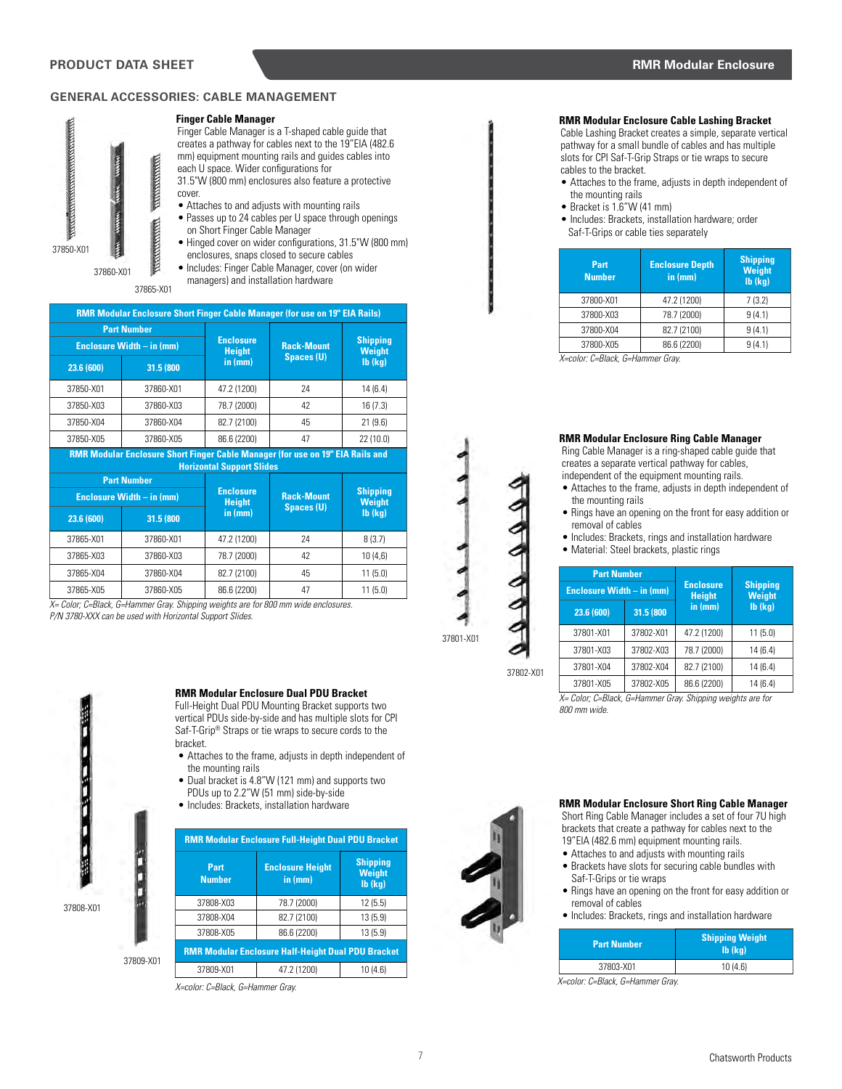## **GENERAL ACCESSORIES: CABLE MANAGEMENT**

#### **Finger Cable Manager**

37850-X01 37860-X01

37865-X01

Finger Cable Manager is a T-shaped cable guide that creates a pathway for cables next to the 19"EIA (482.6 mm) equipment mounting rails and guides cables into each U space. Wider configurations for

31.5"W (800 mm) enclosures also feature a protective cover.

- Attaches to and adjusts with mounting rails
- Passes up to 24 cables per U space through openings on Short Finger Cable Manager
- Hinged cover on wider configurations, 31.5"W (800 mm) enclosures, snaps closed to secure cables
- Includes: Finger Cable Manager, cover (on wider
- managers) and installation hardware

|                                                 | <b>RMR Modular Enclosure Short Finger Cable Manager (for use on 19" EIA Rails)</b> |                                   |                   |                                  |  |
|-------------------------------------------------|------------------------------------------------------------------------------------|-----------------------------------|-------------------|----------------------------------|--|
| <b>Part Number</b><br>Enclosure Width - in (mm) |                                                                                    | <b>Enclosure</b><br><b>Height</b> | <b>Rack-Mount</b> | <b>Shipping</b><br>Weight        |  |
| 23.6 (600)                                      | 31.5 (800                                                                          | in (mm)                           | <b>Spaces (U)</b> | $Ib$ ( $kg$ )                    |  |
| 37850-X01                                       | 37860-X01                                                                          | 47.2 (1200)                       | 24                | 14(6.4)                          |  |
| 37850-X03                                       | 37860-X03                                                                          | 78.7 (2000)                       | 42                | 16(7.3)                          |  |
| 37850-X04                                       | 37860-X04                                                                          | 82.7 (2100)                       | 45                | 21(9.6)                          |  |
| 37850-X05                                       | 37860-X05                                                                          | 86.6 (2200)                       | 47                | 22(10.0)                         |  |
|                                                 | RMR Modular Enclosure Short Finger Cable Manager (for use on 19" EIA Rails and     | <b>Horizontal Support Slides</b>  |                   |                                  |  |
|                                                 | <b>Part Number</b>                                                                 | <b>Enclosure</b>                  |                   |                                  |  |
|                                                 | Enclosure Width - in (mm)                                                          |                                   | <b>Rack-Mount</b> | <b>Shipping</b><br><b>Weight</b> |  |
| 23.6 (600)                                      | 31.5 (800                                                                          | in (mm)                           | <b>Spaces (U)</b> | $Ib$ ( $kg$ )                    |  |
| 37865-X01                                       | 37860-X01                                                                          | 47.2 (1200)                       | 24                | 8(3.7)                           |  |
| 37865-X03                                       | 37860-X03                                                                          | 78.7 (2000)                       | 42                | 10(4,6)                          |  |
| 37865-X04                                       | 37860-X04                                                                          | 82.7 (2100)                       | 45                | 11(5.0)                          |  |
| 37865-X05                                       | 37860-X05                                                                          | 86.6 (2200)                       | 47                | 11(5.0)                          |  |

*X= Color; C=Black, G=Hammer Gray. Shipping weights are for 800 mm wide enclosures. P/N 3780-XXX can be used with Horizontal Support Slides.*



#### **RMR Modular Enclosure Dual PDU Bracket**

Full-Height Dual PDU Mounting Bracket supports two vertical PDUs side-by-side and has multiple slots for CPI Saf-T-Grip® Straps or tie wraps to secure cords to the bracket.

- Attaches to the frame, adjusts in depth independent of the mounting rails
- Dual bracket is 4.8"W (121 mm) and supports two PDUs up to 2.2"W (51 mm) side-by-side
- Includes: Brackets, installation hardware

| <b>RMR Modular Enclosure Full-Height Dual PDU Bracket</b> |                                    |                                                 |  |  |  |
|-----------------------------------------------------------|------------------------------------|-------------------------------------------------|--|--|--|
| Part<br><b>Number</b>                                     | <b>Enclosure Height</b><br>in (mm) | <b>Shipping</b><br><b>Weight</b><br>$Ib$ $(kq)$ |  |  |  |
| 37808-X03                                                 | 78.7 (2000)                        | 12(5.5)                                         |  |  |  |
| 37808-X04                                                 | 82.7 (2100)                        | 13(5.9)                                         |  |  |  |
| 37808-X05                                                 | 86.6 (2200)                        | 13(5.9)                                         |  |  |  |
| <b>RMR Modular Enclosure Half-Height Dual PDU Bracket</b> |                                    |                                                 |  |  |  |
| 37809-X01                                                 | 47.2 (1200)                        | 10(4.6)                                         |  |  |  |

*X=color: C=Black, G=Hammer Gray.* 

## **RMR Modular Enclosure Cable Lashing Bracket**

Cable Lashing Bracket creates a simple, separate vertical pathway for a small bundle of cables and has multiple slots for CPI Saf-T-Grip Straps or tie wraps to secure cables to the bracket.

- Attaches to the frame, adjusts in depth independent of the mounting rails
- Bracket is 1.6"W (41 mm)
- Includes: Brackets, installation hardware; order Saf-T-Grips or cable ties separately

| Part<br><b>Number</b> | <b>Enclosure Depth</b><br>in (mm) | <b>Shipping</b><br><b>Weight</b><br>$Ib$ ( $kg$ ) |
|-----------------------|-----------------------------------|---------------------------------------------------|
| 37800-X01             | 47.2 (1200)                       | 7(3.2)                                            |
| 37800-X03             | 78.7 (2000)                       | 9(4.1)                                            |
| 37800-X04             | 82.7 (2100)                       | 9(4.1)                                            |
| 37800-X05             | 86.6 (2200)                       | 9(4.1)                                            |

*X=color: C=Black, G=Hammer Gray.* 

#### **RMR Modular Enclosure Ring Cable Manager**

Ring Cable Manager is a ring-shaped cable guide that creates a separate vertical pathway for cables, independent of the equipment mounting rails.

- Attaches to the frame, adjusts in depth independent of the mounting rails
- Rings have an opening on the front for easy addition or removal of cables
- Includes: Brackets, rings and installation hardware
- Material: Steel brackets, plastic rings

| <b>Part Number</b><br>Enclosure Width - in (mm) |           | <b>Enclosure</b><br><b>Height</b> | <b>Shipping</b><br><b>Weight</b> |  |
|-------------------------------------------------|-----------|-----------------------------------|----------------------------------|--|
| 23.6 (600)                                      | 31.5 (800 | in (mm)                           | $Ib$ ( $kq$ )                    |  |
| 37801-X01                                       | 37802-X01 | 47.2 (1200)                       | 11(5.0)                          |  |
| 37801-X03                                       | 37802-X03 | 78.7 (2000)                       | 14(6.4)                          |  |
| 37801-X04                                       | 37802-X04 | 82.7 (2100)                       | 14(6.4)                          |  |
| 37801-X05                                       | 37802-X05 | 86.6 (2200)                       | 14 (6.4)                         |  |

*X= Color; C=Black, G=Hammer Gray. Shipping weights are for 800 mm wide.* 





- Attaches to and adjusts with mounting rails
- Brackets have slots for securing cable bundles with Saf-T-Grips or tie wraps

**RMR Modular Enclosure Short Ring Cable Manager** 

- Rings have an opening on the front for easy addition or removal of cables
- Includes: Brackets, rings and installation hardware

| <b>Part Number</b> | <b>Shipping Weight</b><br>$Ib$ $(ka)$ |  |  |
|--------------------|---------------------------------------|--|--|
| 37803-X01          | 10(4.6)                               |  |  |

*X=color: C=Black, G=Hammer Gray.*